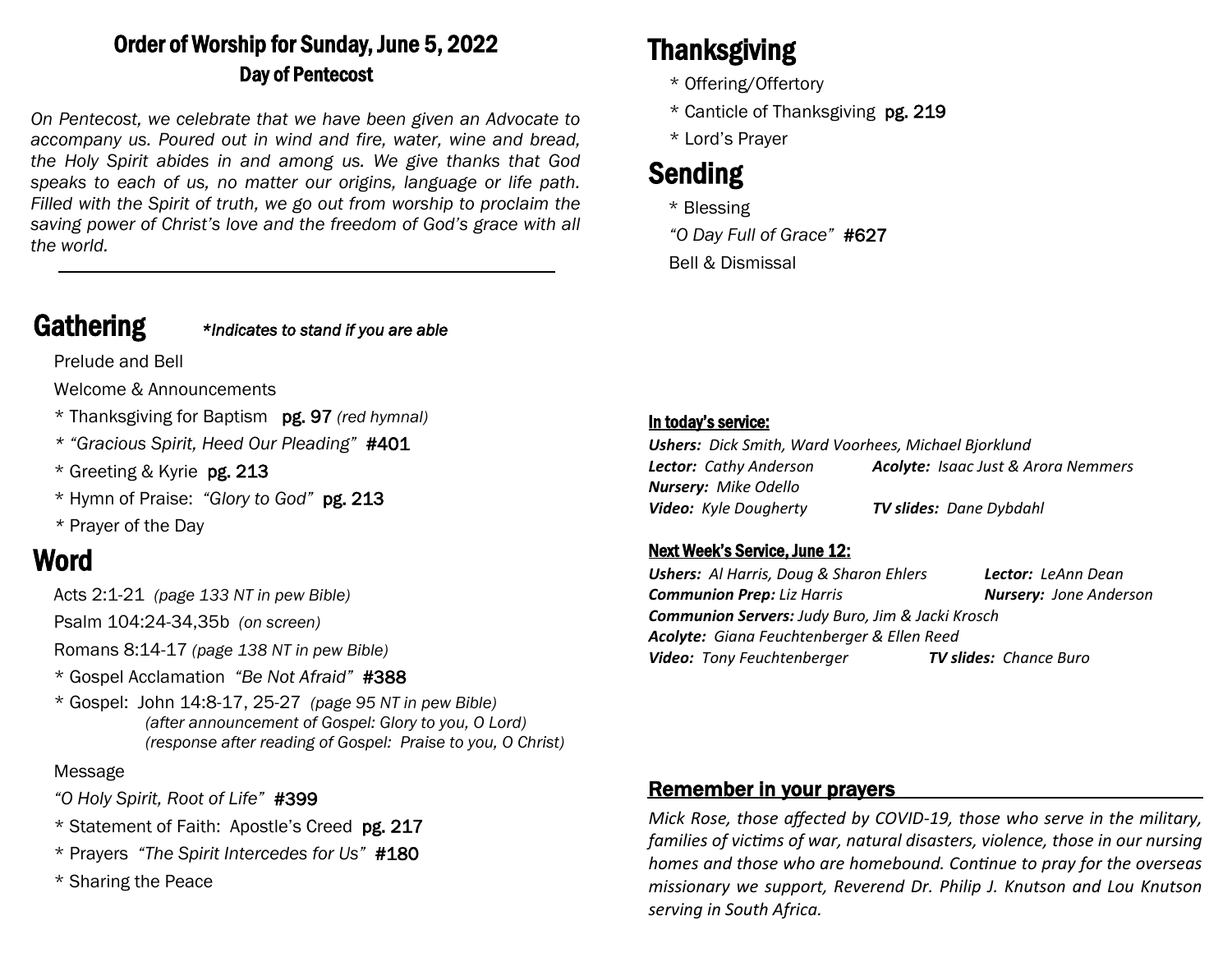# Order of Worship for Sunday, June 5, 2022 Day of Pentecost

*On Pentecost, we celebrate that we have been given an Advocate to accompany us. Poured out in wind and fire, water, wine and bread, the Holy Spirit abides in and among us. We give thanks that God speaks to each of us, no matter our origins, language or life path. Filled with the Spirit of truth, we go out from worship to proclaim the saving power of Christ's love and the freedom of God's grace with all the world.*

## Gathering *\*Indicates to stand if you are able*

Prelude and Bell

Welcome & Announcements

- \* Thanksgiving for Baptism pg. 97 *(red hymnal)*
- *\* "Gracious Spirit, Heed Our Pleading"* #401
- \* Greeting & Kyrie pg. 213
- \* Hymn of Praise: *"Glory to God"* pg. 213
- *\** Prayer of the Day

# Word

Acts 2:1-21 *(page 133 NT in pew Bible)* 

Psalm 104:24-34,35b *(on screen)*

Romans 8:14-17 *(page 138 NT in pew Bible)*

- \* Gospel Acclamation *"Be Not Afraid"* #388
- \* Gospel: John 14:8-17, 25-27 *(page 95 NT in pew Bible) (after announcement of Gospel: Glory to you, O Lord) (response after reading of Gospel: Praise to you, O Christ)*

#### Message

- *"O Holy Spirit, Root of Life"* #399
- \* Statement of Faith: Apostle's Creed pg. 217
- \* Prayers *"The Spirit Intercedes for Us"* #180
- \* Sharing the Peace

# Thanksgiving

- \* Offering/Offertory
- \* Canticle of Thanksgiving pg. 219
- \* Lord's Prayer

# Sending

- \* Blessing
- *"O Day Full of Grace"* #627 Bell & Dismissal

#### In today's service:

| <b>Ushers:</b> Dick Smith, Ward Voorhees, Michael Bjorklund |                                            |
|-------------------------------------------------------------|--------------------------------------------|
| <b>Lector:</b> Cathy Anderson                               | <b>Acolyte:</b> Isaac Just & Arora Nemmers |
| <b>Nursery:</b> Mike Odello                                 |                                            |
| <b>Video:</b> Kyle Dougherty                                | <b>TV slides: Dane Dybdahl</b>             |

#### Next Week's Service, June 12:

*Ushers: Al Harris, Doug & Sharon Ehlers Lector: LeAnn Dean Communion Prep: Liz Harris Nursery: Jone Anderson Communion Servers: Judy Buro, Jim & Jacki Krosch Acolyte: Giana Feuchtenberger & Ellen Reed Video: Tony Feuchtenberger TV slides: Chance Buro*

### Remember in your prayers

*Mick Rose, those affected by COVID-19, those who serve in the military, families of victims of war, natural disasters, violence, those in our nursing homes and those who are homebound. Continue to pray for the overseas missionary we support, Reverend Dr. Philip J. Knutson and Lou Knutson serving in South Africa.*